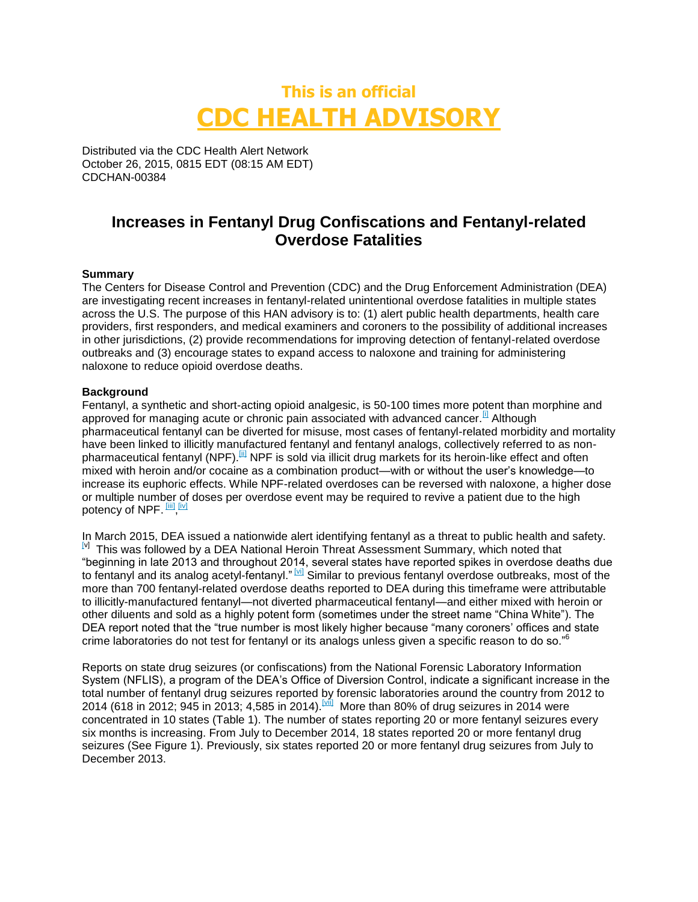## **This is an official CDC HEALTH ADVISORY**

Distributed via the CDC Health Alert Network October 26, 2015, 0815 EDT (08:15 AM EDT) CDCHAN-00384

### **Increases in Fentanyl Drug Confiscations and Fentanyl-related Overdose Fatalities**

### **Summary**

The Centers for Disease Control and Prevention (CDC) and the Drug Enforcement Administration (DEA) are investigating recent increases in fentanyl-related unintentional overdose fatalities in multiple states across the U.S. The purpose of this HAN advisory is to: (1) alert public health departments, health care providers, first responders, and medical examiners and coroners to the possibility of additional increases in other jurisdictions, (2) provide recommendations for improving detection of fentanyl-related overdose outbreaks and (3) encourage states to expand access to naloxone and training for administering naloxone to reduce opioid overdose deaths.

### **Background**

Fentanyl, a synthetic and short-acting opioid analgesic, is 50-100 times more potent than morphine and approved for managing acute or chronic pain associated with advanced cancer. <sup>[1]</sup> Although pharmaceutical fentanyl can be diverted for misuse, most cases of fentanyl-related morbidity and mortality have been linked to illicitly manufactured fentanyl and fentanyl analogs, collectively referred to as nonpharmaceutical fentanyl (NPF). III NPF is sold via illicit drug markets for its heroin-like effect and often mixed with heroin and/or cocaine as a combination product—with or without the user's knowledge—to increase its euphoric effects. While NPF-related overdoses can be reversed with naloxone, a higher dose or multiple number of doses per overdose event may be required to revive a patient due to the high potency of NPF. [iii] [iv]

In March 2015, DEA issued a nationwide alert identifying fentanyl as a threat to public health and safety. [v] This was followed by a DEA National Heroin Threat Assessment Summary, which noted that "beginning in late 2013 and throughout 2014, several states have reported spikes in overdose deaths due to fentanyl and its analog acetyl-fentanyl." <sup>[xi]</sup> Similar to previous fentanyl overdose outbreaks, most of the more than 700 fentanyl-related overdose deaths reported to DEA during this timeframe were attributable to illicitly-manufactured fentanyl—not diverted pharmaceutical fentanyl—and either mixed with heroin or other diluents and sold as a highly potent form (sometimes under the street name "China White"). The DEA report noted that the "true number is most likely higher because "many coroners' offices and state crime laboratories do not test for fentanyl or its analogs unless given a specific reason to do so."<sup>6</sup>

Reports on state drug seizures (or confiscations) from the National Forensic Laboratory Information System (NFLIS), a program of the DEA's Office of Diversion Control, indicate a significant increase in the total number of fentanyl drug seizures reported by forensic laboratories around the country from 2012 to 2014 (618 in 2012; 945 in 2013; 4,585 in 2014).<sup>[vii]</sup> More than 80% of drug seizures in 2014 were concentrated in 10 states (Table 1). The number of states reporting 20 or more fentanyl seizures every six months is increasing. From July to December 2014, 18 states reported 20 or more fentanyl drug seizures (See Figure 1). Previously, six states reported 20 or more fentanyl drug seizures from July to December 2013.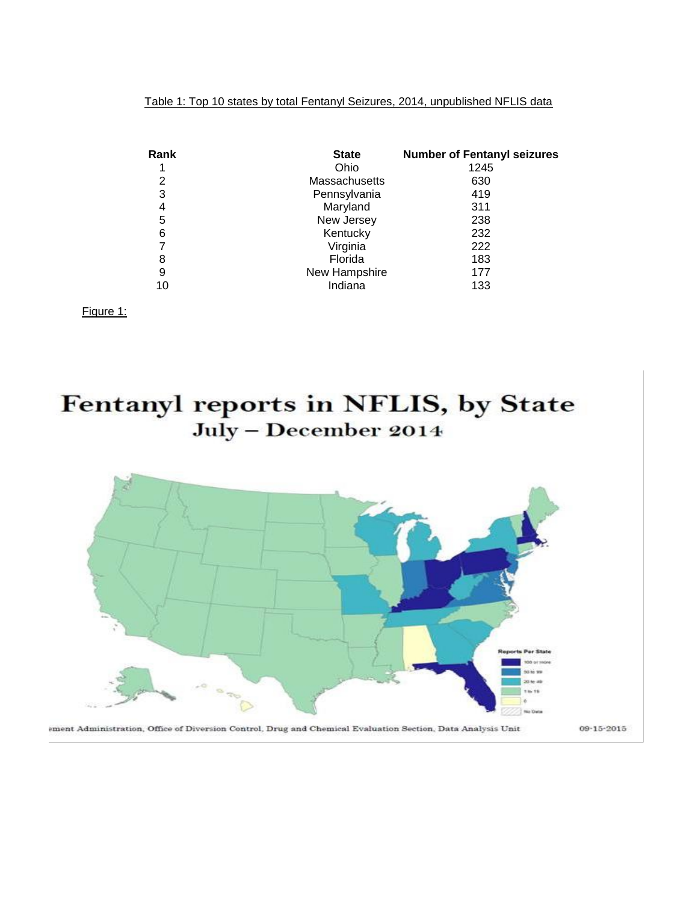Table 1: Top 10 states by total Fentanyl Seizures, 2014, unpublished NFLIS data

| Rank | <b>State</b>         | <b>Number of Fentanyl seizures</b> |
|------|----------------------|------------------------------------|
|      | Ohio                 | 1245                               |
| 2    | <b>Massachusetts</b> | 630                                |
| 3    | Pennsylvania         | 419                                |
| 4    | Maryland             | 311                                |
| 5    | New Jersey           | 238                                |
| 6    | Kentucky             | 232                                |
| 7    | Virginia             | 222                                |
| 8    | Florida              | 183                                |
| 9    | New Hampshire        | 177                                |
| 10   | Indiana              | 133                                |

Figure 1:

# Fentanyl reports in NFLIS, by State July - December 2014



ement Administration, Office of Diversion Control, Drug and Chemical Evaluation Section, Data Analysis Unit

09-15-2015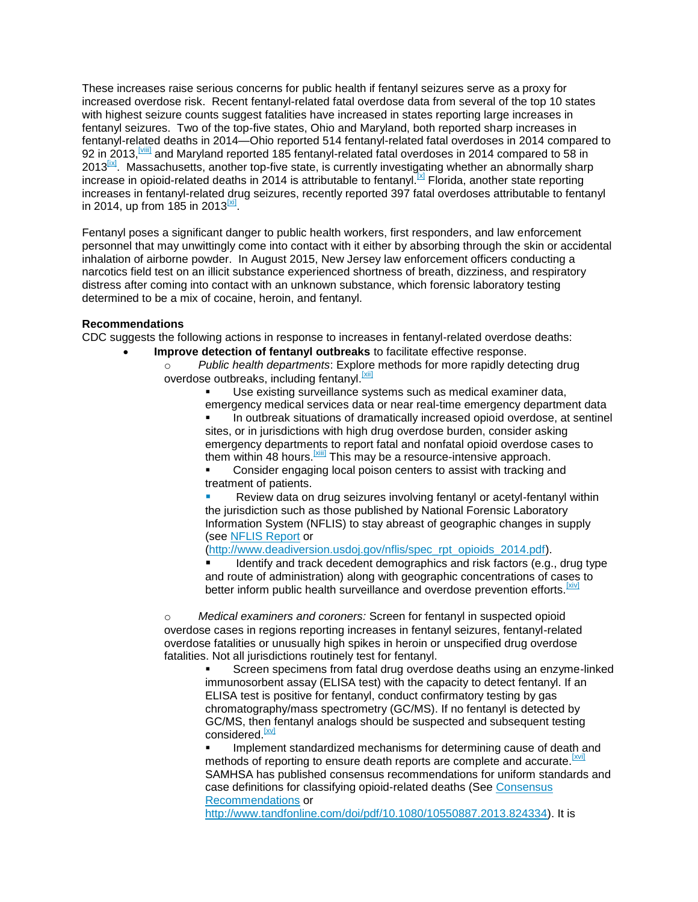These increases raise serious concerns for public health if fentanyl seizures serve as a proxy for increased overdose risk. Recent fentanyl-related fatal overdose data from several of the top 10 states with highest seizure counts suggest fatalities have increased in states reporting large increases in fentanyl seizures. Two of the top-five states, Ohio and Maryland, both reported sharp increases in fentanyl-related deaths in 2014—Ohio reported 514 fentanyl-related fatal overdoses in 2014 compared to 92 in 2013, Mill and Maryland reported 185 fentanyl-related fatal overdoses in 2014 compared to 58 in  $2013^{\text{ln}}$ . Massachusetts, another top-five state, is currently investigating whether an abnormally sharp increase in opioid-related deaths in 2014 is attributable to fentanyl.<sup>[x]</sup> Florida, another state reporting increases in fentanyl-related drug seizures, recently reported 397 fatal overdoses attributable to fentanyl in 2014, up from 185 in 2013 $^{\rm{[xi]}}$ .

Fentanyl poses a significant danger to public health workers, first responders, and law enforcement personnel that may unwittingly come into contact with it either by absorbing through the skin or accidental inhalation of airborne powder. In August 2015, New Jersey law enforcement officers conducting a narcotics field test on an illicit substance experienced shortness of breath, dizziness, and respiratory distress after coming into contact with an unknown substance, which forensic laboratory testing determined to be a mix of cocaine, heroin, and fentanyl.

### **Recommendations**

CDC suggests the following actions in response to increases in fentanyl-related overdose deaths:

- **Improve detection of fentanyl outbreaks** to facilitate effective response.
	- o *Public health departments*: Explore methods for more rapidly detecting drug overdose outbreaks, including fentanyl.<sup>[xii]</sup>

Use existing surveillance systems such as medical examiner data, emergency medical services data or near real-time emergency department data

In outbreak situations of dramatically increased opioid overdose, at sentinel sites, or in jurisdictions with high drug overdose burden, consider asking emergency departments to report fatal and nonfatal opioid overdose cases to them within 48 hours.<sup>[xiii]</sup> This may be a resource-intensive approach. Consider engaging local poison centers to assist with tracking and treatment of patients.

Review data on drug seizures involving fentanyl or acetyl-fentanyl within the jurisdiction such as those published by National Forensic Laboratory Information System (NFLIS) to stay abreast of geographic changes in supply (see [NFLIS Report](http://www.deadiversion.usdoj.gov/nflis/spec_rpt_opioids_2014.pdf) or

[\(http://www.deadiversion.usdoj.gov/nflis/spec\\_rpt\\_opioids\\_2014.pdf\)](http://www.deadiversion.usdoj.gov/nflis/spec_rpt_opioids_2014.pdf).

Identify and track decedent demographics and risk factors (e.g., drug type and route of administration) along with geographic concentrations of cases to better inform public health surveillance and overdose prevention efforts. [Xiv]

o *Medical examiners and coroners:* Screen for fentanyl in suspected opioid overdose cases in regions reporting increases in fentanyl seizures, fentanyl-related overdose fatalities or unusually high spikes in heroin or unspecified drug overdose fatalities. Not all jurisdictions routinely test for fentanyl.

Screen specimens from fatal drug overdose deaths using an enzyme-linked immunosorbent assay (ELISA test) with the capacity to detect fentanyl. If an ELISA test is positive for fentanyl, conduct confirmatory testing by gas chromatography/mass spectrometry (GC/MS). If no fentanyl is detected by GC/MS, then fentanyl analogs should be suspected and subsequent testing considered.<sup>[XV]</sup>

Implement standardized mechanisms for determining cause of death and methods of reporting to ensure death reports are complete and accurate.<sup>[XVII</sup>] SAMHSA has published consensus recommendations for uniform standards and case definitions for classifying opioid-related deaths (See [Consensus](http://www.tandfonline.com/doi/pdf/10.1080/10550887.2013.824334)  [Recommendations](http://www.tandfonline.com/doi/pdf/10.1080/10550887.2013.824334) or

[http://www.tandfonline.com/doi/pdf/10.1080/10550887.2013.824334\)](http://www.tandfonline.com/doi/pdf/10.1080/10550887.2013.824334). It is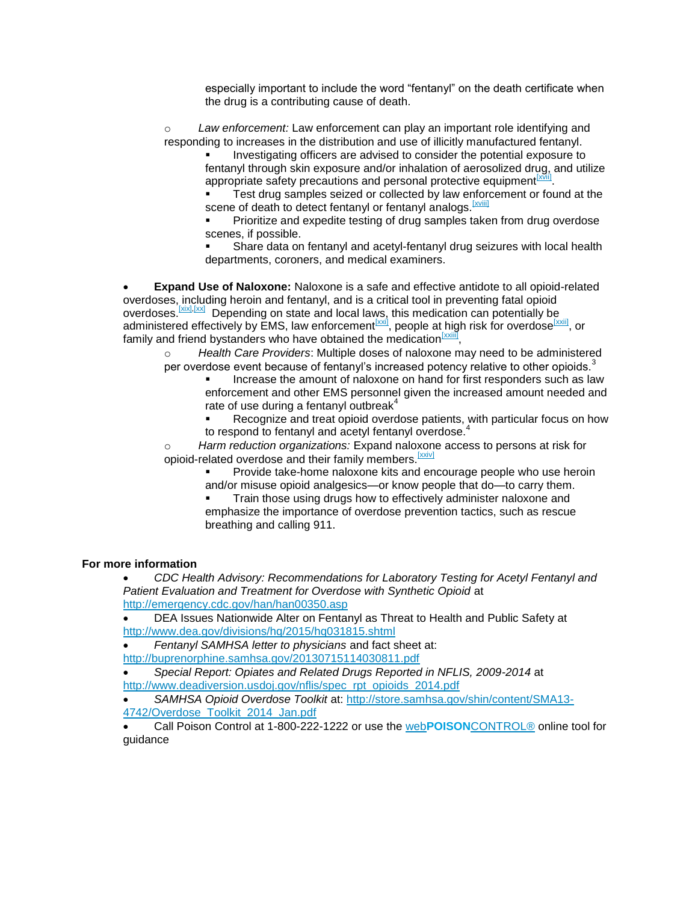especially important to include the word "fentanyl" on the death certificate when the drug is a contributing cause of death.

o *Law enforcement:* Law enforcement can play an important role identifying and responding to increases in the distribution and use of illicitly manufactured fentanyl.

Investigating officers are advised to consider the potential exposure to fentanyl through skin exposure and/or inhalation of aerosolized drug, and utilize appropriate safety precautions and personal protective equipment **XXX** .

Test drug samples seized or collected by law enforcement or found at the scene of death to detect fentanyl or fentanyl analogs. [XVIII]

Prioritize and expedite testing of drug samples taken from drug overdose scenes, if possible.

Share data on fentanyl and acetyl-fentanyl drug seizures with local health departments, coroners, and medical examiners.

**Expand Use of Naloxone:** Naloxone is a safe and effective antidote to all opioid-related overdoses, including heroin and fentanyl, and is a critical tool in preventing fatal opioid overdoses. **[xix], [xx]** Depending on state and local laws, this medication can potentially be administered effectively by EMS, law enforcement<sup>[XXI]</sup>, people at high risk for overdose<sup>[XXII]</sup>, or family and friend bystanders who have obtained the medication  $\frac{[x \times \text{iv}]}{n}$ ,

o *Health Care Providers*: Multiple doses of naloxone may need to be administered per overdose event because of fentanyl's increased potency relative to other opioids.<sup>3</sup>

- Increase the amount of naloxone on hand for first responders such as law enforcement and other EMS personnel given the increased amount needed and rate of use during a fentanyl outbreak $4$
- Recognize and treat opioid overdose patients, with particular focus on how to respond to fentanyl and acetyl fentanyl overdose.

o *Harm reduction organizations:* Expand naloxone access to persons at risk for opioid-related overdose and their family members. [XXiv]

> Provide take-home naloxone kits and encourage people who use heroin and/or misuse opioid analgesics—or know people that do—to carry them.

Train those using drugs how to effectively administer naloxone and emphasize the importance of overdose prevention tactics, such as rescue breathing and calling 911.

### **For more information**

*CDC Health Advisory: Recommendations for Laboratory Testing for Acetyl Fentanyl and Patient Evaluation and Treatment for Overdose with Synthetic Opioid* at <http://emergency.cdc.gov/han/han00350.asp>

DEA Issues Nationwide Alter on Fentanyl as Threat to Health and Public Safety at <http://www.dea.gov/divisions/hq/2015/hq031815.shtml>

*Fentanyl SAMHSA letter to physicians* and fact sheet at:

<http://buprenorphine.samhsa.gov/20130715114030811.pdf>

*Special Report: Opiates and Related Drugs Reported in NFLIS, 2009-2014* at [http://www.deadiversion.usdoj.gov/nflis/spec\\_rpt\\_opioids\\_2014.pdf](http://www.deadiversion.usdoj.gov/nflis/spec_rpt_opioids_2014.pdf)

*SAMHSA Opioid Overdose Toolkit* at: [http://store.samhsa.gov/shin/content/SMA13-](http://store.samhsa.gov/shin/content/SMA13-4742/Overdose_Toolkit_2014_Jan.pdf)

[4742/Overdose\\_Toolkit\\_2014\\_Jan.pdf](http://store.samhsa.gov/shin/content/SMA13-4742/Overdose_Toolkit_2014_Jan.pdf) 

Call Poison Control at 1-800-222-1222 or use the web**POISON**[CONTROL®](http://triage.webpoisoncontrol.org/) online tool for guidance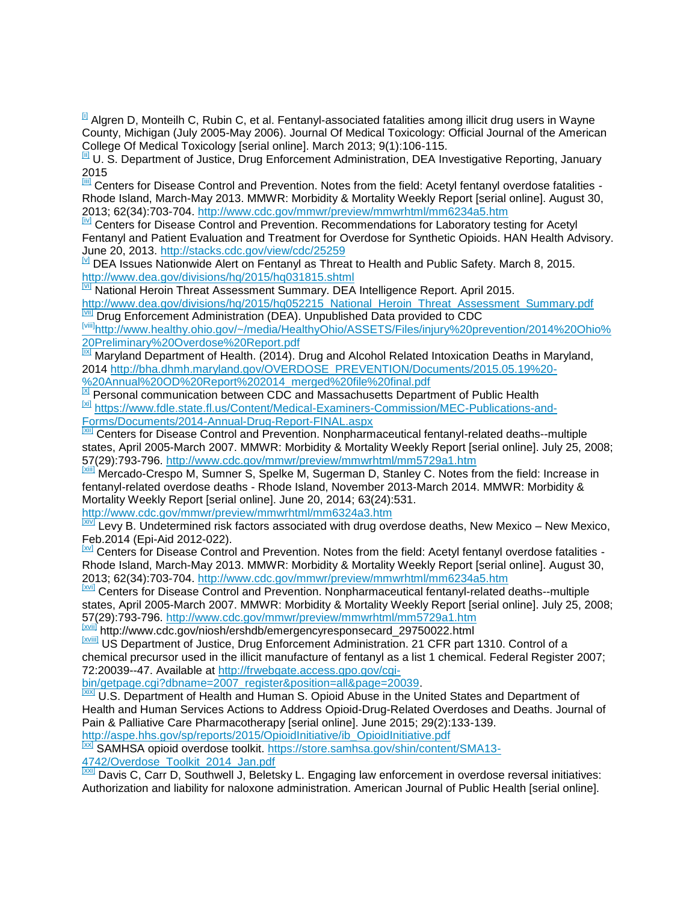$\mu$  Algren D, Monteilh C, Rubin C, et al. Fentanyl-associated fatalities among illicit drug users in Wayne County, Michigan (July 2005-May 2006). Journal Of Medical Toxicology: Official Journal of the American College Of Medical Toxicology [serial online]. March 2013; 9(1):106-115.

U. S. Department of Justice, Drug Enforcement Administration, DEA Investigative Reporting, January 2015

<sup>[iii]</sup> Centers for Disease Control and Prevention. Notes from the field: Acetyl fentanyl overdose fatalities -Rhode Island, March-May 2013. MMWR: Morbidity & Mortality Weekly Report [serial online]. August 30, 2013; 62(34):703-704.<http://www.cdc.gov/mmwr/preview/mmwrhtml/mm6234a5.htm>

[iv] Centers for Disease Control and Prevention. Recommendations for Laboratory testing for Acetyl Fentanyl and Patient Evaluation and Treatment for Overdose for Synthetic Opioids. HAN Health Advisory. June 20, 2013.<http://stacks.cdc.gov/view/cdc/25259>

 $N$  DEA Issues Nationwide Alert on Fentanyl as Threat to Health and Public Safety. March 8, 2015. <http://www.dea.gov/divisions/hq/2015/hq031815.shtml>

**MI National Heroin Threat Assessment Summary. DEA Intelligence Report. April 2015.** 

[http://www.dea.gov/divisions/hq/2015/hq052215\\_National\\_Heroin\\_Threat\\_Assessment\\_Summary.pdf](http://www.dea.gov/divisions/hq/2015/hq052215_National_Heroin_Threat_Assessment_Summary.pdf) **II** Drug Enforcement Administration (DEA). Unpublished Data provided to CDC

[viii]http://www.healthy.ohio.gov/~/media/HealthyOhio/ASSETS/Files/injury%20prevention/2014%20Ohio% [20Preliminary%20Overdose%20Report.pdf](http://www.healthy.ohio.gov/~/media/HealthyOhio/ASSETS/Files/injury%20prevention/2014%20Ohio%20Preliminary%20Overdose%20Report.pdf)

[ix] Maryland Department of Health. (2014). Drug and Alcohol Related Intoxication Deaths in Maryland, 2014 [http://bha.dhmh.maryland.gov/OVERDOSE\\_PREVENTION/Documents/2015.05.19%20-](http://bha.dhmh.maryland.gov/OVERDOSE_PREVENTION/Documents/2015.05.19%20-%20Annual%20OD%20Report%202014_merged%20file%20final.pdf) [%20Annual%20OD%20Report%202014\\_merged%20file%20final.pdf](http://bha.dhmh.maryland.gov/OVERDOSE_PREVENTION/Documents/2015.05.19%20-%20Annual%20OD%20Report%202014_merged%20file%20final.pdf)

**EX** Personal communication between CDC and Massachusetts Department of Public Health [xi] [https://www.fdle.state.fl.us/Content/Medical-Examiners-Commission/MEC-Publications-and-](https://www.fdle.state.fl.us/Content/Medical-Examiners-Commission/MEC-Publications-and-Forms/Documents/2014-Annual-Drug-Report-FINAL.aspx)[Forms/Documents/2014-Annual-Drug-Report-FINAL.aspx](https://www.fdle.state.fl.us/Content/Medical-Examiners-Commission/MEC-Publications-and-Forms/Documents/2014-Annual-Drug-Report-FINAL.aspx)

[xii] Centers for Disease Control and Prevention. Nonpharmaceutical fentanyl-related deaths--multiple states, April 2005-March 2007. MMWR: Morbidity & Mortality Weekly Report [serial online]. July 25, 2008; 57(29):793-796.<http://www.cdc.gov/mmwr/preview/mmwrhtml/mm5729a1.htm>

[xiii] Mercado-Crespo M, Sumner S, Spelke M, Sugerman D, Stanley C. Notes from the field: Increase in fentanyl-related overdose deaths - Rhode Island, November 2013-March 2014. MMWR: Morbidity & Mortality Weekly Report [serial online]. June 20, 2014; 63(24):531.

<http://www.cdc.gov/mmwr/preview/mmwrhtml/mm6324a3.htm>

**EXIVE Levy B. Undetermined risk factors associated with drug overdose deaths, New Mexico – New Mexico,** Feb.2014 (Epi-Aid 2012-022).

[XV] Centers for Disease Control and Prevention. Notes from the field: Acetyl fentanyl overdose fatalities -Rhode Island, March-May 2013. MMWR: Morbidity & Mortality Weekly Report [serial online]. August 30, 2013; 62(34):703-704.<http://www.cdc.gov/mmwr/preview/mmwrhtml/mm6234a5.htm>

[xvi] Centers for Disease Control and Prevention. Nonpharmaceutical fentanyl-related deaths--multiple states, April 2005-March 2007. MMWR: Morbidity & Mortality Weekly Report [serial online]. July 25, 2008; 57(29):793-796.<http://www.cdc.gov/mmwr/preview/mmwrhtml/mm5729a1.htm>

[xvii] http://www.cdc.gov/niosh/ershdb/emergencyresponsecard\_29750022.html

[XVIII] US Department of Justice, Drug Enforcement Administration. 21 CFR part 1310. Control of a chemical precursor used in the illicit manufacture of fentanyl as a list 1 chemical. Federal Register 2007; 72:20039--47. Available at [http://frwebgate.access.gpo.gov/cgi-](http://frwebgate.access.gpo.gov/cgi-bin/getpage.cgi?dbname=2007_register&position=all&page=20039)

[bin/getpage.cgi?dbname=2007\\_register&position=all&page=20039.](http://frwebgate.access.gpo.gov/cgi-bin/getpage.cgi?dbname=2007_register&position=all&page=20039)

**XXX** U.S. Department of Health and Human S. Opioid Abuse in the United States and Department of Health and Human Services Actions to Address Opioid-Drug-Related Overdoses and Deaths. Journal of Pain & Palliative Care Pharmacotherapy [serial online]. June 2015; 29(2):133-139.

[http://aspe.hhs.gov/sp/reports/2015/OpioidInitiative/ib\\_OpioidInitiative.pdf](http://aspe.hhs.gov/sp/reports/2015/OpioidInitiative/ib_OpioidInitiative.pdf)

[XX] SAMHSA opioid overdose toolkit. [https://store.samhsa.gov/shin/content/SMA13-](https://store.samhsa.gov/shin/content/SMA13-4742/Overdose_Toolkit_2014_Jan.pdf) [4742/Overdose\\_Toolkit\\_2014\\_Jan.pdf](https://store.samhsa.gov/shin/content/SMA13-4742/Overdose_Toolkit_2014_Jan.pdf)

[xxi] Davis C, Carr D, Southwell J, Beletsky L. Engaging law enforcement in overdose reversal initiatives: Authorization and liability for naloxone administration. American Journal of Public Health [serial online].